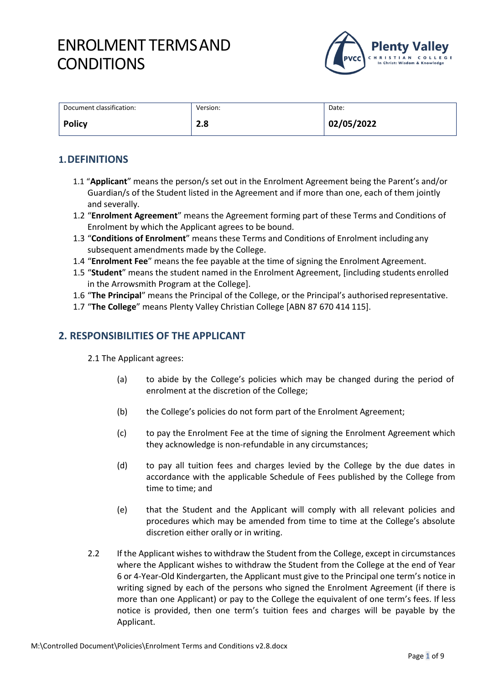

| Document classification: | Version: | Date:       |
|--------------------------|----------|-------------|
| <b>Policy</b>            | 2.8      | 102/05/2022 |

### **1.DEFINITIONS**

- 1.1 "**Applicant**" means the person/s set out in the Enrolment Agreement being the Parent's and/or Guardian/s of the Student listed in the Agreement and if more than one, each of them jointly and severally.
- 1.2 "**Enrolment Agreement**" means the Agreement forming part of these Terms and Conditions of Enrolment by which the Applicant agrees to be bound.
- 1.3 "**Conditions of Enrolment**" means these Terms and Conditions of Enrolment including any subsequent amendments made by the College.
- 1.4 "**Enrolment Fee**" means the fee payable at the time of signing the Enrolment Agreement.
- 1.5 "**Student**" means the student named in the Enrolment Agreement, [including students enrolled in the Arrowsmith Program at the College].
- 1.6 "**The Principal**" means the Principal of the College, or the Principal's authorised representative.
- 1.7 "**The College**" means Plenty Valley Christian College [ABN 87 670 414 115].

### **2. RESPONSIBILITIES OF THE APPLICANT**

2.1 The Applicant agrees:

- (a) to abide by the College's policies which may be changed during the period of enrolment at the discretion of the College;
- (b) the College's policies do not form part of the Enrolment Agreement;
- (c) to pay the Enrolment Fee at the time of signing the Enrolment Agreement which they acknowledge is non-refundable in any circumstances;
- (d) to pay all tuition fees and charges levied by the College by the due dates in accordance with the applicable Schedule of Fees published by the College from time to time; and
- (e) that the Student and the Applicant will comply with all relevant policies and procedures which may be amended from time to time at the College's absolute discretion either orally or in writing.
- 2.2 If the Applicant wishes to withdraw the Student from the College, except in circumstances where the Applicant wishes to withdraw the Student from the College at the end of Year 6 or 4-Year-Old Kindergarten, the Applicant must give to the Principal one term's notice in writing signed by each of the persons who signed the Enrolment Agreement (if there is more than one Applicant) or pay to the College the equivalent of one term's fees. If less notice is provided, then one term's tuition fees and charges will be payable by the Applicant.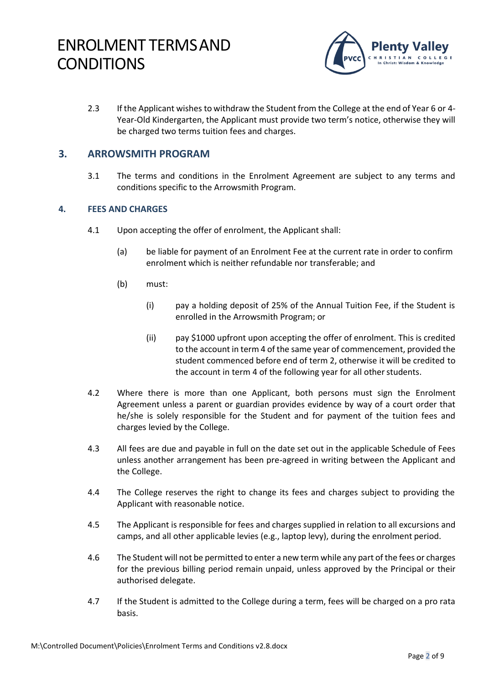

2.3 If the Applicant wishes to withdraw the Student from the College at the end of Year 6 or 4- Year-Old Kindergarten, the Applicant must provide two term's notice, otherwise they will be charged two terms tuition fees and charges.

#### **3. ARROWSMITH PROGRAM**

3.1 The terms and conditions in the Enrolment Agreement are subject to any terms and conditions specific to the Arrowsmith Program.

#### **4. FEES AND CHARGES**

- 4.1 Upon accepting the offer of enrolment, the Applicant shall:
	- (a) be liable for payment of an Enrolment Fee at the current rate in order to confirm enrolment which is neither refundable nor transferable; and
	- (b) must:
		- (i) pay a holding deposit of 25% of the Annual Tuition Fee, if the Student is enrolled in the Arrowsmith Program; or
		- (ii) pay \$1000 upfront upon accepting the offer of enrolment. This is credited to the account in term 4 of the same year of commencement, provided the student commenced before end of term 2, otherwise it will be credited to the account in term 4 of the following year for all other students.
- 4.2 Where there is more than one Applicant, both persons must sign the Enrolment Agreement unless a parent or guardian provides evidence by way of a court order that he/she is solely responsible for the Student and for payment of the tuition fees and charges levied by the College.
- 4.3 All fees are due and payable in full on the date set out in the applicable Schedule of Fees unless another arrangement has been pre-agreed in writing between the Applicant and the College.
- 4.4 The College reserves the right to change its fees and charges subject to providing the Applicant with reasonable notice.
- 4.5 The Applicant is responsible for fees and charges supplied in relation to all excursions and camps, and all other applicable levies (e.g., laptop levy), during the enrolment period.
- 4.6 The Student will not be permitted to enter a new term while any part of the fees or charges for the previous billing period remain unpaid, unless approved by the Principal or their authorised delegate.
- 4.7 If the Student is admitted to the College during a term, fees will be charged on a pro rata basis.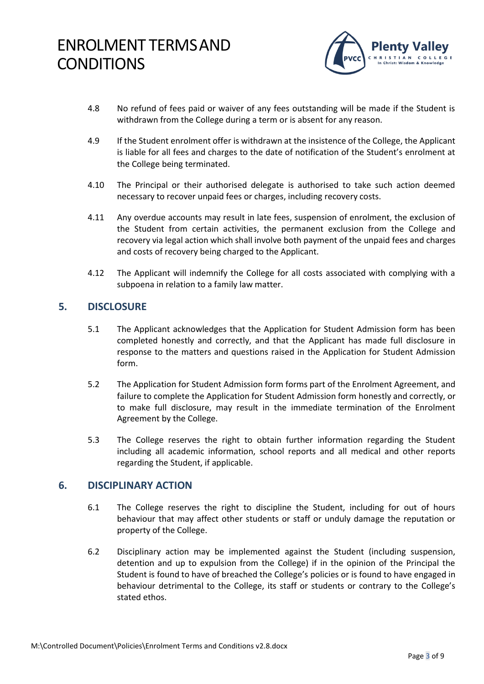

- 4.8 No refund of fees paid or waiver of any fees outstanding will be made if the Student is withdrawn from the College during a term or is absent for any reason.
- 4.9 If the Student enrolment offer is withdrawn at the insistence of the College, the Applicant is liable for all fees and charges to the date of notification of the Student's enrolment at the College being terminated.
- 4.10 The Principal or their authorised delegate is authorised to take such action deemed necessary to recover unpaid fees or charges, including recovery costs.
- 4.11 Any overdue accounts may result in late fees, suspension of enrolment, the exclusion of the Student from certain activities, the permanent exclusion from the College and recovery via legal action which shall involve both payment of the unpaid fees and charges and costs of recovery being charged to the Applicant.
- 4.12 The Applicant will indemnify the College for all costs associated with complying with a subpoena in relation to a family law matter.

#### **5. DISCLOSURE**

- 5.1 The Applicant acknowledges that the Application for Student Admission form has been completed honestly and correctly, and that the Applicant has made full disclosure in response to the matters and questions raised in the Application for Student Admission form.
- 5.2 The Application for Student Admission form forms part of the Enrolment Agreement, and failure to complete the Application for Student Admission form honestly and correctly, or to make full disclosure, may result in the immediate termination of the Enrolment Agreement by the College.
- 5.3 The College reserves the right to obtain further information regarding the Student including all academic information, school reports and all medical and other reports regarding the Student, if applicable.

#### **6. DISCIPLINARY ACTION**

- 6.1 The College reserves the right to discipline the Student, including for out of hours behaviour that may affect other students or staff or unduly damage the reputation or property of the College.
- 6.2 Disciplinary action may be implemented against the Student (including suspension, detention and up to expulsion from the College) if in the opinion of the Principal the Student is found to have of breached the College's policies or is found to have engaged in behaviour detrimental to the College, its staff or students or contrary to the College's stated ethos.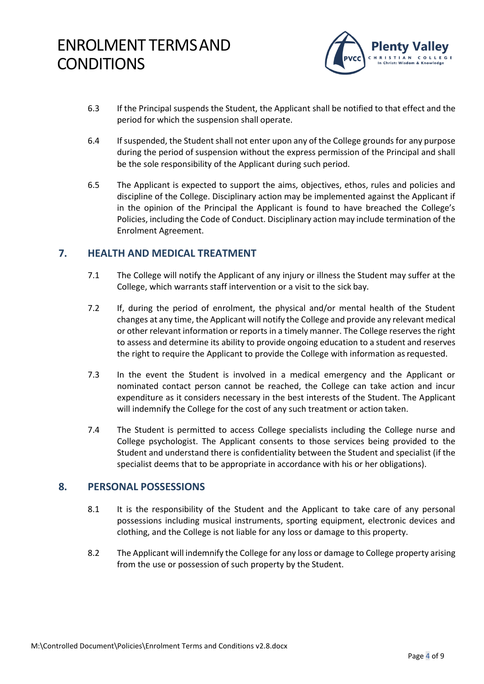

- 6.3 If the Principal suspends the Student, the Applicant shall be notified to that effect and the period for which the suspension shall operate.
- 6.4 Ifsuspended, the Studentshall not enter upon any of the College grounds for any purpose during the period of suspension without the express permission of the Principal and shall be the sole responsibility of the Applicant during such period.
- 6.5 The Applicant is expected to support the aims, objectives, ethos, rules and policies and discipline of the College. Disciplinary action may be implemented against the Applicant if in the opinion of the Principal the Applicant is found to have breached the College's Policies, including the Code of Conduct. Disciplinary action may include termination of the Enrolment Agreement.

#### **7. HEALTH AND MEDICAL TREATMENT**

- 7.1 The College will notify the Applicant of any injury or illness the Student may suffer at the College, which warrants staff intervention or a visit to the sick bay.
- 7.2 If, during the period of enrolment, the physical and/or mental health of the Student changes at any time, the Applicant will notify the College and provide any relevant medical or other relevant information or reports in a timely manner. The College reserves the right to assess and determine its ability to provide ongoing education to a student and reserves the right to require the Applicant to provide the College with information as requested.
- 7.3 In the event the Student is involved in a medical emergency and the Applicant or nominated contact person cannot be reached, the College can take action and incur expenditure as it considers necessary in the best interests of the Student. The Applicant will indemnify the College for the cost of any such treatment or action taken.
- 7.4 The Student is permitted to access College specialists including the College nurse and College psychologist. The Applicant consents to those services being provided to the Student and understand there is confidentiality between the Student and specialist (if the specialist deems that to be appropriate in accordance with his or her obligations).

#### **8. PERSONAL POSSESSIONS**

- 8.1 It is the responsibility of the Student and the Applicant to take care of any personal possessions including musical instruments, sporting equipment, electronic devices and clothing, and the College is not liable for any loss or damage to this property.
- 8.2 The Applicant will indemnify the College for any loss or damage to College property arising from the use or possession of such property by the Student.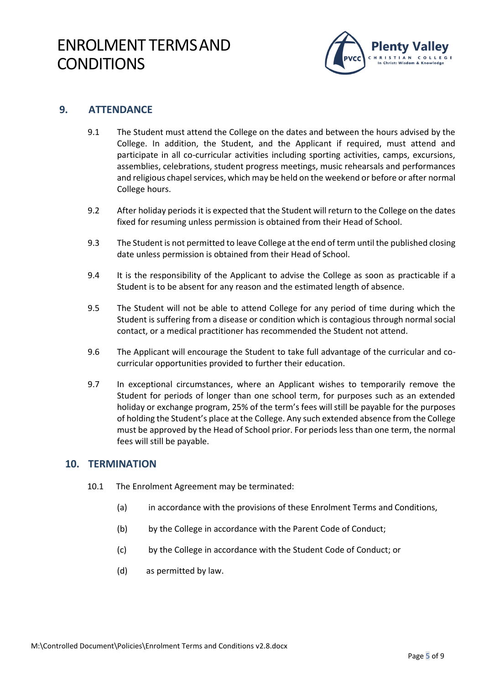

#### **9. ATTENDANCE**

- 9.1 The Student must attend the College on the dates and between the hours advised by the College. In addition, the Student, and the Applicant if required, must attend and participate in all co-curricular activities including sporting activities, camps, excursions, assemblies, celebrations, student progress meetings, music rehearsals and performances and religious chapel services, which may be held on the weekend or before or after normal College hours.
- 9.2 After holiday periods it is expected that the Student will return to the College on the dates fixed for resuming unless permission is obtained from their Head of School.
- 9.3 The Student is not permitted to leave College at the end of term until the published closing date unless permission is obtained from their Head of School.
- 9.4 It is the responsibility of the Applicant to advise the College as soon as practicable if a Student is to be absent for any reason and the estimated length of absence.
- 9.5 The Student will not be able to attend College for any period of time during which the Student is suffering from a disease or condition which is contagious through normal social contact, or a medical practitioner has recommended the Student not attend.
- 9.6 The Applicant will encourage the Student to take full advantage of the curricular and cocurricular opportunities provided to further their education.
- 9.7 In exceptional circumstances, where an Applicant wishes to temporarily remove the Student for periods of longer than one school term, for purposes such as an extended holiday or exchange program, 25% of the term's fees will still be payable for the purposes of holding the Student's place at the College. Any such extended absence from the College must be approved by the Head of School prior. For periods less than one term, the normal fees will still be payable.

#### **10. TERMINATION**

- 10.1 The Enrolment Agreement may be terminated:
	- (a) in accordance with the provisions of these Enrolment Terms and Conditions,
	- (b) by the College in accordance with the Parent Code of Conduct;
	- (c) by the College in accordance with the Student Code of Conduct; or
	- (d) as permitted by law.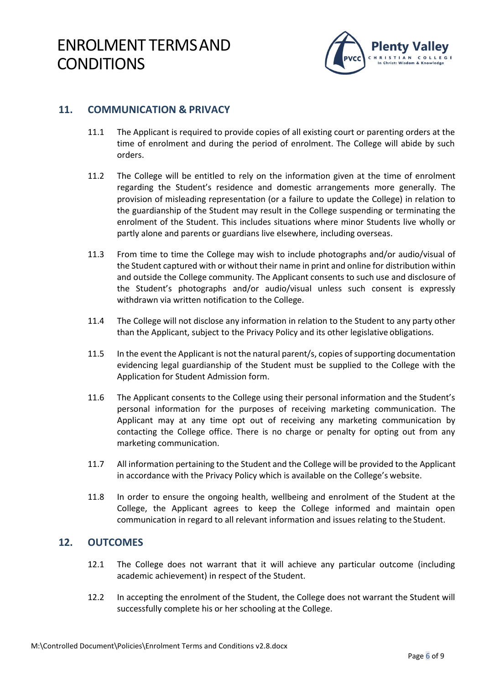

### **11. COMMUNICATION & PRIVACY**

- 11.1 The Applicant is required to provide copies of all existing court or parenting orders at the time of enrolment and during the period of enrolment. The College will abide by such orders.
- 11.2 The College will be entitled to rely on the information given at the time of enrolment regarding the Student's residence and domestic arrangements more generally. The provision of misleading representation (or a failure to update the College) in relation to the guardianship of the Student may result in the College suspending or terminating the enrolment of the Student. This includes situations where minor Students live wholly or partly alone and parents or guardians live elsewhere, including overseas.
- 11.3 From time to time the College may wish to include photographs and/or audio/visual of the Student captured with or without their name in print and online for distribution within and outside the College community. The Applicant consents to such use and disclosure of the Student's photographs and/or audio/visual unless such consent is expressly withdrawn via written notification to the College.
- 11.4 The College will not disclose any information in relation to the Student to any party other than the Applicant, subject to the Privacy Policy and its other legislative obligations.
- 11.5 In the event the Applicant is not the natural parent/s, copies of supporting documentation evidencing legal guardianship of the Student must be supplied to the College with the Application for Student Admission form.
- 11.6 The Applicant consents to the College using their personal information and the Student's personal information for the purposes of receiving marketing communication. The Applicant may at any time opt out of receiving any marketing communication by contacting the College office. There is no charge or penalty for opting out from any marketing communication.
- 11.7 All information pertaining to the Student and the College will be provided to the Applicant in accordance with the Privacy Policy which is available on the College's website.
- 11.8 In order to ensure the ongoing health, wellbeing and enrolment of the Student at the College, the Applicant agrees to keep the College informed and maintain open communication in regard to all relevant information and issues relating to the Student.

#### **12. OUTCOMES**

- 12.1 The College does not warrant that it will achieve any particular outcome (including academic achievement) in respect of the Student.
- 12.2 In accepting the enrolment of the Student, the College does not warrant the Student will successfully complete his or her schooling at the College.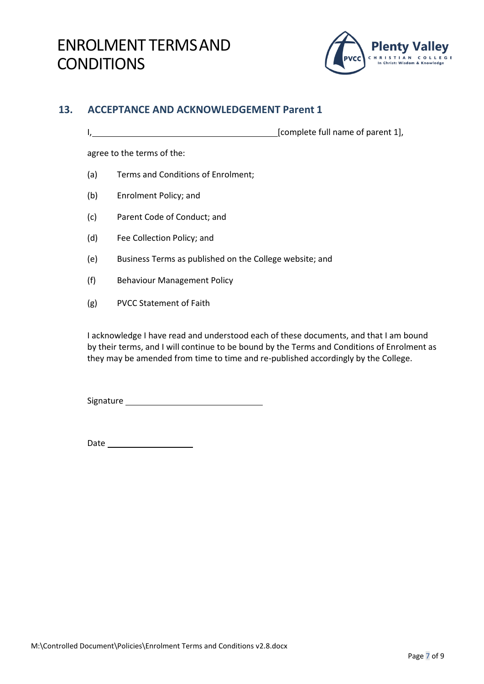

### **13. ACCEPTANCE AND ACKNOWLEDGEMENT Parent 1**

I, [complete full name of parent 1],

agree to the terms of the:

- (a) Terms and Conditions of Enrolment;
- (b) Enrolment Policy; and
- (c) Parent Code of Conduct; and
- (d) Fee Collection Policy; and
- (e) Business Terms as published on the College website; and
- (f) Behaviour Management Policy
- (g) PVCC Statement of Faith

I acknowledge I have read and understood each of these documents, and that I am bound by their terms, and I will continue to be bound by the Terms and Conditions of Enrolment as they may be amended from time to time and re-published accordingly by the College.

Signature

Date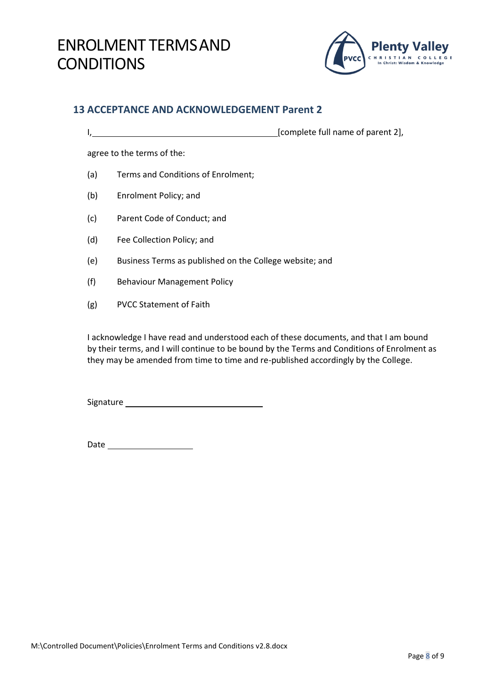

### **13 ACCEPTANCE AND ACKNOWLEDGEMENT Parent 2**

- I, [complete full name of parent 2], agree to the terms of the: (a) Terms and Conditions of Enrolment;
- (b) Enrolment Policy; and
- (c) Parent Code of Conduct; and
- (d) Fee Collection Policy; and
- (e) Business Terms as published on the College website; and
- (f) Behaviour Management Policy
- (g) PVCC Statement of Faith

I acknowledge I have read and understood each of these documents, and that I am bound by their terms, and I will continue to be bound by the Terms and Conditions of Enrolment as they may be amended from time to time and re-published accordingly by the College.

Signature

Date